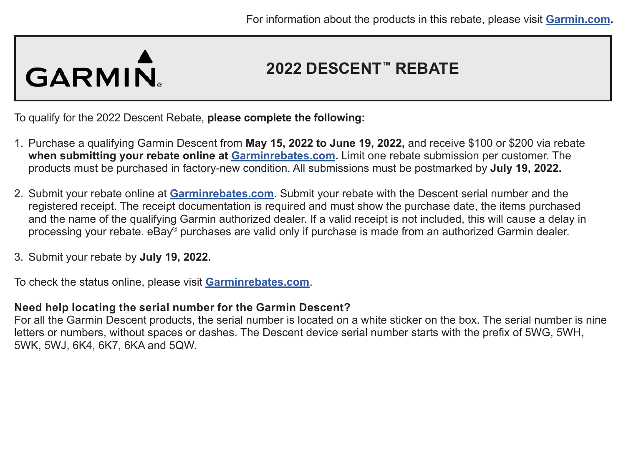## GARMIN.

### **2022 DESCENT™ REBATE**

To qualify for the 2022 Descent Rebate, **please complete the following:**

- 1. Purchase a qualifying Garmin Descent from **May 15, 2022 to June 19, 2022,** and receive \$100 or \$200 via rebate **when submitting your rebate online at [Garminrebates.com](https://www.garminrebates.com/).** Limit one rebate submission per customer. The products must be purchased in factory-new condition. All submissions must be postmarked by **July 19, 2022.**
- 2. Submit your rebate online at **[Garminrebates.com](https://www.garminrebates.com/)**. Submit your rebate with the Descent serial number and the registered receipt. The receipt documentation is required and must show the purchase date, the items purchased and the name of the qualifying Garmin authorized dealer. If a valid receipt is not included, this will cause a delay in processing your rebate. eBay® purchases are valid only if purchase is made from an authorized Garmin dealer.
- 3. Submit your rebate by **July 19, 2022.**

To check the status online, please visit **[Garminrebates.com](https://www.garminrebates.com/)**.

#### **Need help locating the serial number for the Garmin Descent?**

For all the Garmin Descent products, the serial number is located on a white sticker on the box. The serial number is nine letters or numbers, without spaces or dashes. The Descent device serial number starts with the prefix of 5WG, 5WH, 5WK, 5WJ, 6K4, 6K7, 6KA and 5QW.